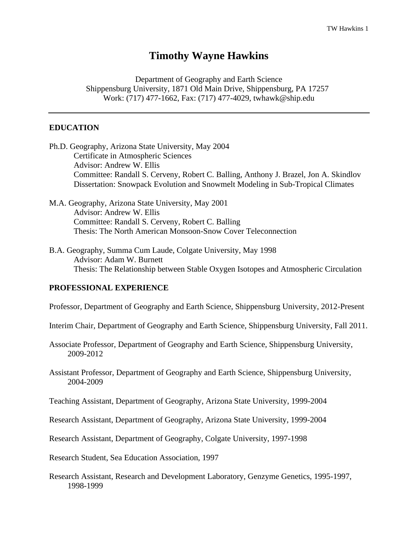# **Timothy Wayne Hawkins**

Department of Geography and Earth Science Shippensburg University, 1871 Old Main Drive, Shippensburg, PA 17257 Work: (717) 477-1662, Fax: (717) 477-4029, twhawk@ship.edu

## **EDUCATION**

- Ph.D. Geography, Arizona State University, May 2004 Certificate in Atmospheric Sciences Advisor: Andrew W. Ellis Committee: Randall S. Cerveny, Robert C. Balling, Anthony J. Brazel, Jon A. Skindlov Dissertation: Snowpack Evolution and Snowmelt Modeling in Sub-Tropical Climates
- M.A. Geography, Arizona State University, May 2001 Advisor: Andrew W. Ellis Committee: Randall S. Cerveny, Robert C. Balling Thesis: The North American Monsoon-Snow Cover Teleconnection
- B.A. Geography, Summa Cum Laude, Colgate University, May 1998 Advisor: Adam W. Burnett Thesis: The Relationship between Stable Oxygen Isotopes and Atmospheric Circulation

#### **PROFESSIONAL EXPERIENCE**

Professor, Department of Geography and Earth Science, Shippensburg University, 2012-Present

Interim Chair, Department of Geography and Earth Science, Shippensburg University, Fall 2011.

- Associate Professor, Department of Geography and Earth Science, Shippensburg University, 2009-2012
- Assistant Professor, Department of Geography and Earth Science, Shippensburg University, 2004-2009

Teaching Assistant, Department of Geography, Arizona State University, 1999-2004

Research Assistant, Department of Geography, Arizona State University, 1999-2004

Research Assistant, Department of Geography, Colgate University, 1997-1998

Research Student, Sea Education Association, 1997

Research Assistant, Research and Development Laboratory, Genzyme Genetics, 1995-1997, 1998-1999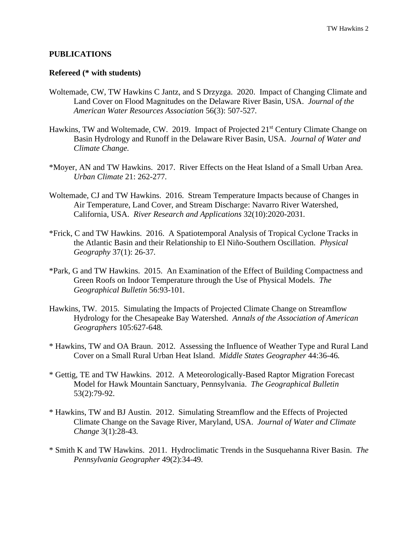### **PUBLICATIONS**

#### **Refereed (\* with students)**

- Woltemade, CW, TW Hawkins C Jantz, and S Drzyzga. 2020. Impact of Changing Climate and Land Cover on Flood Magnitudes on the Delaware River Basin, USA. *Journal of the American Water Resources Association* 56(3): 507-527*.*
- Hawkins, TW and Woltemade, CW. 2019. Impact of Projected 21<sup>st</sup> Century Climate Change on Basin Hydrology and Runoff in the Delaware River Basin, USA. *Journal of Water and Climate Change.*
- \*Moyer, AN and TW Hawkins. 2017. River Effects on the Heat Island of a Small Urban Area. *Urban Climate* 21: 262-277*.*
- Woltemade, CJ and TW Hawkins. 2016. Stream Temperature Impacts because of Changes in Air Temperature, Land Cover, and Stream Discharge: Navarro River Watershed, California, USA. *River Research and Applications* 32(10):2020-2031*.*
- \*Frick, C and TW Hawkins. 2016. A Spatiotemporal Analysis of Tropical Cyclone Tracks in the Atlantic Basin and their Relationship to El Niño-Southern Oscillation. *Physical Geography* 37(1): 26-37*.*
- \*Park, G and TW Hawkins. 2015. An Examination of the Effect of Building Compactness and Green Roofs on Indoor Temperature through the Use of Physical Models. *The Geographical Bulletin* 56:93-101*.*
- Hawkins, TW. 2015. Simulating the Impacts of Projected Climate Change on Streamflow Hydrology for the Chesapeake Bay Watershed. *Annals of the Association of American Geographers* 105:627-648*.*
- \* Hawkins, TW and OA Braun. 2012. Assessing the Influence of Weather Type and Rural Land Cover on a Small Rural Urban Heat Island. *Middle States Geographer* 44:36-46*.*
- \* Gettig, TE and TW Hawkins. 2012. A Meteorologically-Based Raptor Migration Forecast Model for Hawk Mountain Sanctuary, Pennsylvania. *The Geographical Bulletin*  53(2):79-92.
- \* Hawkins, TW and BJ Austin. 2012. Simulating Streamflow and the Effects of Projected Climate Change on the Savage River, Maryland, USA. *Journal of Water and Climate Change* 3(1):28-43*.*
- \* Smith K and TW Hawkins. 2011. Hydroclimatic Trends in the Susquehanna River Basin. *The Pennsylvania Geographer* 49(2):34-49*.*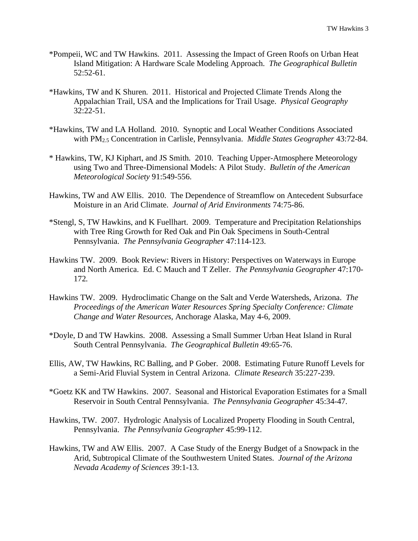- \*Pompeii, WC and TW Hawkins*.* 2011. Assessing the Impact of Green Roofs on Urban Heat Island Mitigation: A Hardware Scale Modeling Approach. *The Geographical Bulletin* 52:52-61.
- \*Hawkins, TW and K Shuren*.* 2011. Historical and Projected Climate Trends Along the Appalachian Trail, USA and the Implications for Trail Usage. *Physical Geography* 32:22-51.
- \*Hawkins, TW and LA Holland*.* 2010. Synoptic and Local Weather Conditions Associated with PM2.5 Concentration in Carlisle, Pennsylvania. *Middle States Geographer* 43:72-84.
- \* Hawkins, TW, KJ Kiphart, and JS Smith*.* 2010. Teaching Upper-Atmosphere Meteorology using Two and Three-Dimensional Models: A Pilot Study. *Bulletin of the American Meteorological Society* 91:549-556.
- Hawkins, TW and AW Ellis. 2010. The Dependence of Streamflow on Antecedent Subsurface Moisture in an Arid Climate. *Journal of Arid Environments* 74:75-86.
- \*Stengl, S, TW Hawkins, and K Fuellhart.2009. Temperature and Precipitation Relationships with Tree Ring Growth for Red Oak and Pin Oak Specimens in South-Central Pennsylvania. *The Pennsylvania Geographer* 47:114-123.
- Hawkins TW. 2009. Book Review: Rivers in History: Perspectives on Waterways in Europe and North America. Ed. C Mauch and T Zeller. *The Pennsylvania Geographer* 47:170- 172*.*
- Hawkins TW. 2009. Hydroclimatic Change on the Salt and Verde Watersheds, Arizona. *The Proceedings of the American Water Resources Spring Specialty Conference: Climate Change and Water Resources,* Anchorage Alaska, May 4-6, 2009.
- \*Doyle, D and TW Hawkins. 2008. Assessing a Small Summer Urban Heat Island in Rural South Central Pennsylvania. *The Geographical Bulletin* 49:65-76.
- Ellis, AW, TW Hawkins, RC Balling, and P Gober. 2008. Estimating Future Runoff Levels for a Semi-Arid Fluvial System in Central Arizona. *Climate Research* 35:227-239.
- \*Goetz KK and TW Hawkins. 2007. Seasonal and Historical Evaporation Estimates for a Small Reservoir in South Central Pennsylvania. *The Pennsylvania Geographer* 45:34-47.
- Hawkins, TW. 2007. Hydrologic Analysis of Localized Property Flooding in South Central, Pennsylvania. *The Pennsylvania Geographer* 45:99-112.
- Hawkins, TW and AW Ellis. 2007. A Case Study of the Energy Budget of a Snowpack in the Arid, Subtropical Climate of the Southwestern United States. *Journal of the Arizona Nevada Academy of Sciences* 39:1-13.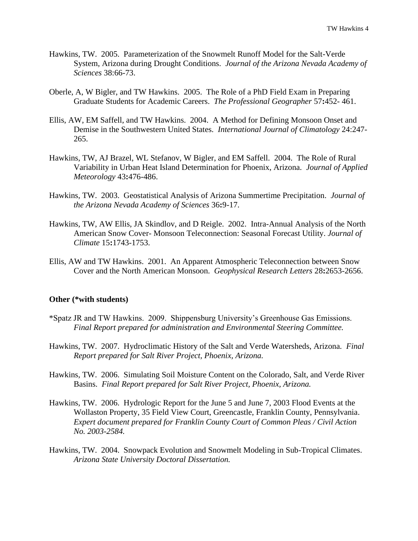- Hawkins, TW. 2005. Parameterization of the Snowmelt Runoff Model for the Salt-Verde System, Arizona during Drought Conditions. *Journal of the Arizona Nevada Academy of Sciences* 38:66-73.
- Oberle, A, W Bigler, and TW Hawkins. 2005. The Role of a PhD Field Exam in Preparing Graduate Students for Academic Careers. *The Professional Geographer* 57**:**452- 461.
- Ellis, AW, EM Saffell, and TW Hawkins. 2004. A Method for Defining Monsoon Onset and Demise in the Southwestern United States. *International Journal of Climatology* 24:247- 265.
- Hawkins, TW, AJ Brazel, WL Stefanov, W Bigler, and EM Saffell. 2004. The Role of Rural Variability in Urban Heat Island Determination for Phoenix, Arizona. *Journal of Applied Meteorology* 43**:**476-486.
- Hawkins, TW. 2003. Geostatistical Analysis of Arizona Summertime Precipitation. *Journal of the Arizona Nevada Academy of Sciences* 36**:**9-17.
- Hawkins, TW, AW Ellis, JA Skindlov, and D Reigle. 2002. Intra-Annual Analysis of the North American Snow Cover- Monsoon Teleconnection: Seasonal Forecast Utility. *Journal of Climate* 15**:**1743-1753.
- Ellis, AW and TW Hawkins. 2001. An Apparent Atmospheric Teleconnection between Snow Cover and the North American Monsoon. *Geophysical Research Letters* 28**:**2653-2656.

#### **Other (\*with students)**

- \*Spatz JR and TW Hawkins. 2009. Shippensburg University's Greenhouse Gas Emissions. *Final Report prepared for administration and Environmental Steering Committee.*
- Hawkins, TW. 2007. Hydroclimatic History of the Salt and Verde Watersheds, Arizona. *Final Report prepared for Salt River Project, Phoenix, Arizona.*
- Hawkins, TW. 2006. Simulating Soil Moisture Content on the Colorado, Salt, and Verde River Basins. *Final Report prepared for Salt River Project, Phoenix, Arizona.*
- Hawkins, TW. 2006. Hydrologic Report for the June 5 and June 7, 2003 Flood Events at the Wollaston Property, 35 Field View Court, Greencastle, Franklin County, Pennsylvania. *Expert document prepared for Franklin County Court of Common Pleas / Civil Action No. 2003-2584.*
- Hawkins, TW. 2004. Snowpack Evolution and Snowmelt Modeling in Sub-Tropical Climates. *Arizona State University Doctoral Dissertation.*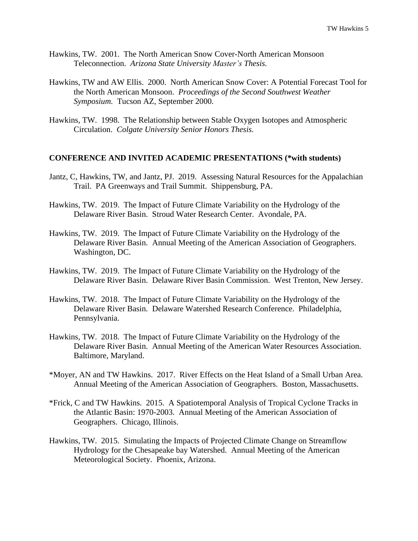- Hawkins, TW. 2001. The North American Snow Cover-North American Monsoon Teleconnection. *Arizona State University Master's Thesis.*
- Hawkins, TW and AW Ellis. 2000. North American Snow Cover: A Potential Forecast Tool for the North American Monsoon. *Proceedings of the Second Southwest Weather Symposium.* Tucson AZ, September 2000.
- Hawkins, TW. 1998. The Relationship between Stable Oxygen Isotopes and Atmospheric Circulation. *Colgate University Senior Honors Thesis.*

## **CONFERENCE AND INVITED ACADEMIC PRESENTATIONS (\*with students)**

- Jantz, C, Hawkins, TW, and Jantz, PJ. 2019. Assessing Natural Resources for the Appalachian Trail. PA Greenways and Trail Summit. Shippensburg, PA.
- Hawkins, TW. 2019. The Impact of Future Climate Variability on the Hydrology of the Delaware River Basin. Stroud Water Research Center. Avondale, PA.
- Hawkins, TW. 2019. The Impact of Future Climate Variability on the Hydrology of the Delaware River Basin. Annual Meeting of the American Association of Geographers. Washington, DC.
- Hawkins, TW. 2019. The Impact of Future Climate Variability on the Hydrology of the Delaware River Basin. Delaware River Basin Commission. West Trenton, New Jersey.
- Hawkins, TW. 2018. The Impact of Future Climate Variability on the Hydrology of the Delaware River Basin. Delaware Watershed Research Conference. Philadelphia, Pennsylvania.
- Hawkins, TW. 2018. The Impact of Future Climate Variability on the Hydrology of the Delaware River Basin. Annual Meeting of the American Water Resources Association. Baltimore, Maryland.
- \*Moyer, AN and TW Hawkins. 2017. River Effects on the Heat Island of a Small Urban Area. Annual Meeting of the American Association of Geographers. Boston, Massachusetts.
- \*Frick, C and TW Hawkins. 2015. A Spatiotemporal Analysis of Tropical Cyclone Tracks in the Atlantic Basin: 1970-2003. Annual Meeting of the American Association of Geographers. Chicago, Illinois.
- Hawkins, TW. 2015. Simulating the Impacts of Projected Climate Change on Streamflow Hydrology for the Chesapeake bay Watershed. Annual Meeting of the American Meteorological Society. Phoenix, Arizona.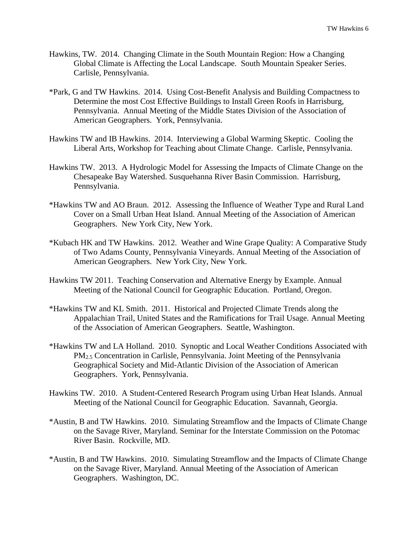- Hawkins, TW. 2014. Changing Climate in the South Mountain Region: How a Changing Global Climate is Affecting the Local Landscape. South Mountain Speaker Series. Carlisle, Pennsylvania.
- \*Park, G and TW Hawkins. 2014. Using Cost-Benefit Analysis and Building Compactness to Determine the most Cost Effective Buildings to Install Green Roofs in Harrisburg, Pennsylvania. Annual Meeting of the Middle States Division of the Association of American Geographers. York, Pennsylvania.
- Hawkins TW and IB Hawkins. 2014. Interviewing a Global Warming Skeptic. Cooling the Liberal Arts, Workshop for Teaching about Climate Change. Carlisle, Pennsylvania.
- Hawkins TW. 2013. A Hydrologic Model for Assessing the Impacts of Climate Change on the Chesapeake Bay Watershed. Susquehanna River Basin Commission. Harrisburg, Pennsylvania.
- \*Hawkins TW and AO Braun. 2012. Assessing the Influence of Weather Type and Rural Land Cover on a Small Urban Heat Island. Annual Meeting of the Association of American Geographers. New York City, New York.
- \*Kubach HK and TW Hawkins. 2012. Weather and Wine Grape Quality: A Comparative Study of Two Adams County, Pennsylvania Vineyards. Annual Meeting of the Association of American Geographers. New York City, New York.
- Hawkins TW 2011. Teaching Conservation and Alternative Energy by Example. Annual Meeting of the National Council for Geographic Education. Portland, Oregon.
- \*Hawkins TW and KL Smith. 2011. Historical and Projected Climate Trends along the Appalachian Trail, United States and the Ramifications for Trail Usage. Annual Meeting of the Association of American Geographers. Seattle, Washington.
- \*Hawkins TW and LA Holland. 2010. Synoptic and Local Weather Conditions Associated with PM2.5 Concentration in Carlisle, Pennsylvania. Joint Meeting of the Pennsylvania Geographical Society and Mid-Atlantic Division of the Association of American Geographers. York, Pennsylvania.
- Hawkins TW. 2010. A Student-Centered Research Program using Urban Heat Islands. Annual Meeting of the National Council for Geographic Education. Savannah, Georgia.
- \*Austin, B and TW Hawkins. 2010. Simulating Streamflow and the Impacts of Climate Change on the Savage River, Maryland. Seminar for the Interstate Commission on the Potomac River Basin. Rockville, MD.
- \*Austin, B and TW Hawkins. 2010. Simulating Streamflow and the Impacts of Climate Change on the Savage River, Maryland. Annual Meeting of the Association of American Geographers. Washington, DC.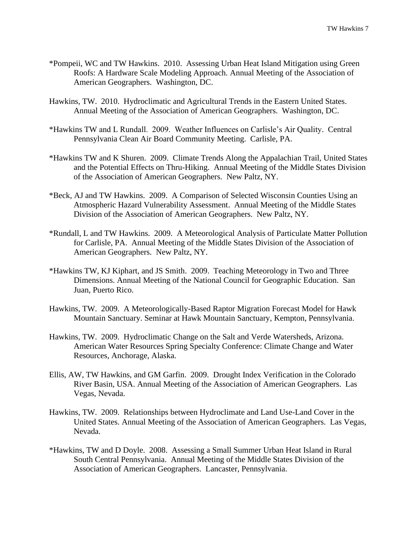- \*Pompeii, WC and TW Hawkins. 2010. Assessing Urban Heat Island Mitigation using Green Roofs: A Hardware Scale Modeling Approach. Annual Meeting of the Association of American Geographers. Washington, DC.
- Hawkins, TW. 2010. Hydroclimatic and Agricultural Trends in the Eastern United States. Annual Meeting of the Association of American Geographers. Washington, DC.
- \*Hawkins TW and L Rundall. 2009. Weather Influences on Carlisle's Air Quality. Central Pennsylvania Clean Air Board Community Meeting. Carlisle, PA.
- \*Hawkins TW and K Shuren. 2009. Climate Trends Along the Appalachian Trail, United States and the Potential Effects on Thru-Hiking. Annual Meeting of the Middle States Division of the Association of American Geographers. New Paltz, NY.
- \*Beck, AJ and TW Hawkins. 2009. A Comparison of Selected Wisconsin Counties Using an Atmospheric Hazard Vulnerability Assessment. Annual Meeting of the Middle States Division of the Association of American Geographers. New Paltz, NY.
- \*Rundall, L and TW Hawkins. 2009. A Meteorological Analysis of Particulate Matter Pollution for Carlisle, PA. Annual Meeting of the Middle States Division of the Association of American Geographers. New Paltz, NY.
- \*Hawkins TW, KJ Kiphart, and JS Smith. 2009. Teaching Meteorology in Two and Three Dimensions. Annual Meeting of the National Council for Geographic Education. San Juan, Puerto Rico.
- Hawkins, TW. 2009. A Meteorologically-Based Raptor Migration Forecast Model for Hawk Mountain Sanctuary. Seminar at Hawk Mountain Sanctuary*,* Kempton, Pennsylvania.
- Hawkins, TW. 2009. Hydroclimatic Change on the Salt and Verde Watersheds, Arizona. American Water Resources Spring Specialty Conference: Climate Change and Water Resources*,* Anchorage, Alaska.
- Ellis, AW, TW Hawkins, and GM Garfin. 2009. Drought Index Verification in the Colorado River Basin, USA. Annual Meeting of the Association of American Geographers. Las Vegas, Nevada.
- Hawkins, TW. 2009. Relationships between Hydroclimate and Land Use-Land Cover in the United States. Annual Meeting of the Association of American Geographers. Las Vegas, Nevada.
- \*Hawkins, TW and D Doyle. 2008. Assessing a Small Summer Urban Heat Island in Rural South Central Pennsylvania. Annual Meeting of the Middle States Division of the Association of American Geographers. Lancaster, Pennsylvania.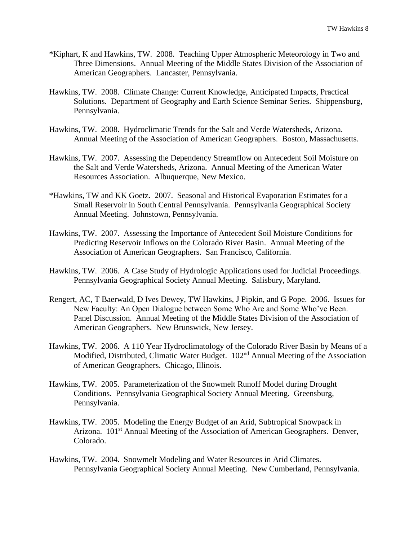- \*Kiphart, K and Hawkins, TW. 2008. Teaching Upper Atmospheric Meteorology in Two and Three Dimensions. Annual Meeting of the Middle States Division of the Association of American Geographers. Lancaster, Pennsylvania.
- Hawkins, TW. 2008. Climate Change: Current Knowledge, Anticipated Impacts, Practical Solutions. Department of Geography and Earth Science Seminar Series. Shippensburg, Pennsylvania.
- Hawkins, TW. 2008. Hydroclimatic Trends for the Salt and Verde Watersheds, Arizona. Annual Meeting of the Association of American Geographers. Boston, Massachusetts.
- Hawkins, TW. 2007. Assessing the Dependency Streamflow on Antecedent Soil Moisture on the Salt and Verde Watersheds, Arizona. Annual Meeting of the American Water Resources Association. Albuquerque, New Mexico.
- \*Hawkins, TW and KK Goetz. 2007. Seasonal and Historical Evaporation Estimates for a Small Reservoir in South Central Pennsylvania. Pennsylvania Geographical Society Annual Meeting. Johnstown, Pennsylvania.
- Hawkins, TW. 2007. Assessing the Importance of Antecedent Soil Moisture Conditions for Predicting Reservoir Inflows on the Colorado River Basin. Annual Meeting of the Association of American Geographers. San Francisco, California.
- Hawkins, TW. 2006. A Case Study of Hydrologic Applications used for Judicial Proceedings. Pennsylvania Geographical Society Annual Meeting. Salisbury, Maryland.
- Rengert, AC, T Baerwald, D Ives Dewey, TW Hawkins, J Pipkin, and G Pope. 2006. Issues for New Faculty: An Open Dialogue between Some Who Are and Some Who've Been. Panel Discussion. Annual Meeting of the Middle States Division of the Association of American Geographers. New Brunswick, New Jersey.
- Hawkins, TW. 2006. A 110 Year Hydroclimatology of the Colorado River Basin by Means of a Modified, Distributed, Climatic Water Budget. 102<sup>nd</sup> Annual Meeting of the Association of American Geographers. Chicago, Illinois.
- Hawkins, TW. 2005. Parameterization of the Snowmelt Runoff Model during Drought Conditions. Pennsylvania Geographical Society Annual Meeting. Greensburg, Pennsylvania.
- Hawkins, TW. 2005. Modeling the Energy Budget of an Arid, Subtropical Snowpack in Arizona. 101<sup>st</sup> Annual Meeting of the Association of American Geographers. Denver, Colorado.
- Hawkins, TW. 2004. Snowmelt Modeling and Water Resources in Arid Climates. Pennsylvania Geographical Society Annual Meeting. New Cumberland, Pennsylvania.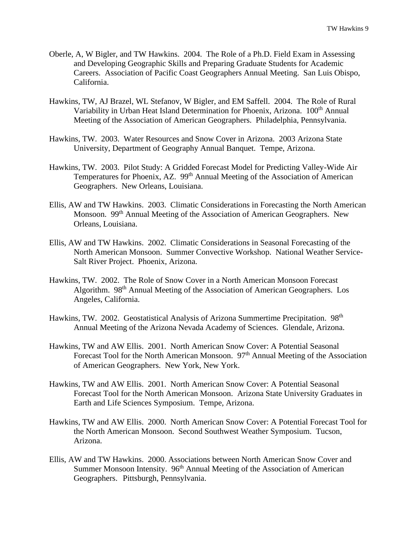- Oberle, A, W Bigler, and TW Hawkins. 2004. The Role of a Ph.D. Field Exam in Assessing and Developing Geographic Skills and Preparing Graduate Students for Academic Careers. Association of Pacific Coast Geographers Annual Meeting. San Luis Obispo, California.
- Hawkins, TW, AJ Brazel, WL Stefanov, W Bigler, and EM Saffell. 2004. The Role of Rural Variability in Urban Heat Island Determination for Phoenix, Arizona. 100<sup>th</sup> Annual Meeting of the Association of American Geographers. Philadelphia, Pennsylvania.
- Hawkins, TW. 2003. Water Resources and Snow Cover in Arizona. 2003 Arizona State University, Department of Geography Annual Banquet. Tempe, Arizona.
- Hawkins, TW. 2003. Pilot Study: A Gridded Forecast Model for Predicting Valley-Wide Air Temperatures for Phoenix, AZ. 99<sup>th</sup> Annual Meeting of the Association of American Geographers. New Orleans, Louisiana.
- Ellis, AW and TW Hawkins. 2003. Climatic Considerations in Forecasting the North American Monsoon. 99<sup>th</sup> Annual Meeting of the Association of American Geographers. New Orleans, Louisiana.
- Ellis, AW and TW Hawkins. 2002. Climatic Considerations in Seasonal Forecasting of the North American Monsoon. Summer Convective Workshop. National Weather Service-Salt River Project. Phoenix, Arizona.
- Hawkins, TW. 2002. The Role of Snow Cover in a North American Monsoon Forecast Algorithm. 98th Annual Meeting of the Association of American Geographers.Los Angeles, California.
- Hawkins, TW. 2002. Geostatistical Analysis of Arizona Summertime Precipitation. 98<sup>th</sup> Annual Meeting of the Arizona Nevada Academy of Sciences.Glendale, Arizona.
- Hawkins, TW and AW Ellis. 2001. North American Snow Cover: A Potential Seasonal Forecast Tool for the North American Monsoon.  $97<sup>th</sup>$  Annual Meeting of the Association of American Geographers.New York, New York.
- Hawkins, TW and AW Ellis. 2001. North American Snow Cover: A Potential Seasonal Forecast Tool for the North American Monsoon. Arizona State University Graduates in Earth and Life Sciences Symposium.Tempe, Arizona.
- Hawkins, TW and AW Ellis. 2000. North American Snow Cover: A Potential Forecast Tool for the North American Monsoon. Second Southwest Weather Symposium. Tucson, Arizona.
- Ellis, AW and TW Hawkins. 2000. Associations between North American Snow Cover and Summer Monsoon Intensity. 96<sup>th</sup> Annual Meeting of the Association of American Geographers. Pittsburgh, Pennsylvania.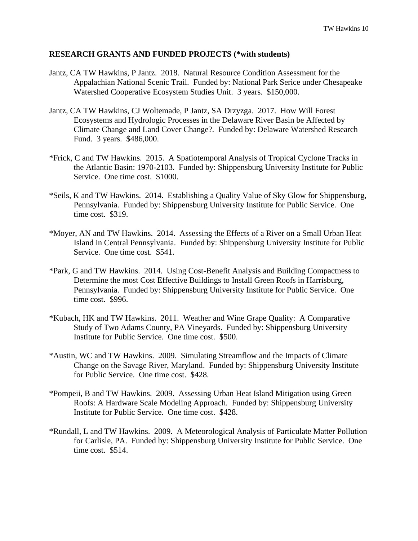## **RESEARCH GRANTS AND FUNDED PROJECTS (\*with students)**

- Jantz, CA TW Hawkins, P Jantz. 2018. Natural Resource Condition Assessment for the Appalachian National Scenic Trail. Funded by: National Park Serice under Chesapeake Watershed Cooperative Ecosystem Studies Unit. 3 years. \$150,000.
- Jantz, CA TW Hawkins, CJ Woltemade, P Jantz, SA Drzyzga. 2017. How Will Forest Ecosystems and Hydrologic Processes in the Delaware River Basin be Affected by Climate Change and Land Cover Change?. Funded by: Delaware Watershed Research Fund. 3 years. \$486,000.
- \*Frick, C and TW Hawkins. 2015. A Spatiotemporal Analysis of Tropical Cyclone Tracks in the Atlantic Basin: 1970-2103. Funded by: Shippensburg University Institute for Public Service. One time cost. \$1000.
- \*Seils, K and TW Hawkins. 2014. Establishing a Quality Value of Sky Glow for Shippensburg, Pennsylvania. Funded by: Shippensburg University Institute for Public Service. One time cost. \$319.
- \*Moyer, AN and TW Hawkins. 2014. Assessing the Effects of a River on a Small Urban Heat Island in Central Pennsylvania. Funded by: Shippensburg University Institute for Public Service. One time cost. \$541.
- \*Park, G and TW Hawkins. 2014. Using Cost-Benefit Analysis and Building Compactness to Determine the most Cost Effective Buildings to Install Green Roofs in Harrisburg, Pennsylvania. Funded by: Shippensburg University Institute for Public Service. One time cost. \$996.
- \*Kubach, HK and TW Hawkins. 2011. Weather and Wine Grape Quality: A Comparative Study of Two Adams County, PA Vineyards. Funded by: Shippensburg University Institute for Public Service. One time cost. \$500.
- \*Austin, WC and TW Hawkins. 2009. Simulating Streamflow and the Impacts of Climate Change on the Savage River, Maryland. Funded by: Shippensburg University Institute for Public Service. One time cost. \$428.
- \*Pompeii, B and TW Hawkins. 2009. Assessing Urban Heat Island Mitigation using Green Roofs: A Hardware Scale Modeling Approach. Funded by: Shippensburg University Institute for Public Service. One time cost. \$428.
- \*Rundall, L and TW Hawkins. 2009. A Meteorological Analysis of Particulate Matter Pollution for Carlisle, PA. Funded by: Shippensburg University Institute for Public Service. One time cost. \$514.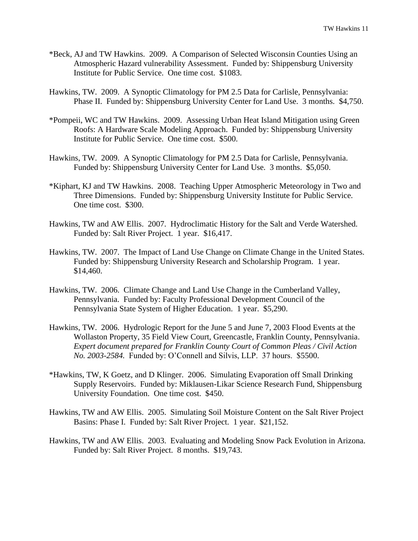- \*Beck, AJ and TW Hawkins. 2009. A Comparison of Selected Wisconsin Counties Using an Atmospheric Hazard vulnerability Assessment. Funded by: Shippensburg University Institute for Public Service. One time cost. \$1083.
- Hawkins, TW. 2009. A Synoptic Climatology for PM 2.5 Data for Carlisle, Pennsylvania: Phase II. Funded by: Shippensburg University Center for Land Use. 3 months. \$4,750.
- \*Pompeii, WC and TW Hawkins. 2009. Assessing Urban Heat Island Mitigation using Green Roofs: A Hardware Scale Modeling Approach. Funded by: Shippensburg University Institute for Public Service. One time cost. \$500.
- Hawkins, TW. 2009. A Synoptic Climatology for PM 2.5 Data for Carlisle, Pennsylvania. Funded by: Shippensburg University Center for Land Use. 3 months. \$5,050.
- \*Kiphart, KJ and TW Hawkins. 2008. Teaching Upper Atmospheric Meteorology in Two and Three Dimensions. Funded by: Shippensburg University Institute for Public Service. One time cost. \$300.
- Hawkins, TW and AW Ellis. 2007. Hydroclimatic History for the Salt and Verde Watershed. Funded by: Salt River Project. 1 year. \$16,417.
- Hawkins, TW. 2007. The Impact of Land Use Change on Climate Change in the United States. Funded by: Shippensburg University Research and Scholarship Program. 1 year. \$14,460.
- Hawkins, TW. 2006. Climate Change and Land Use Change in the Cumberland Valley, Pennsylvania. Funded by: Faculty Professional Development Council of the Pennsylvania State System of Higher Education. 1 year. \$5,290.
- Hawkins, TW. 2006. Hydrologic Report for the June 5 and June 7, 2003 Flood Events at the Wollaston Property, 35 Field View Court, Greencastle, Franklin County, Pennsylvania. *Expert document prepared for Franklin County Court of Common Pleas / Civil Action No. 2003-2584.* Funded by: O'Connell and Silvis, LLP. 37 hours. \$5500.
- \*Hawkins, TW, K Goetz, and D Klinger. 2006. Simulating Evaporation off Small Drinking Supply Reservoirs. Funded by: Miklausen-Likar Science Research Fund, Shippensburg University Foundation. One time cost. \$450.
- Hawkins, TW and AW Ellis. 2005. Simulating Soil Moisture Content on the Salt River Project Basins: Phase I. Funded by: Salt River Project. 1 year. \$21,152.
- Hawkins, TW and AW Ellis. 2003. Evaluating and Modeling Snow Pack Evolution in Arizona. Funded by: Salt River Project. 8 months. \$19,743.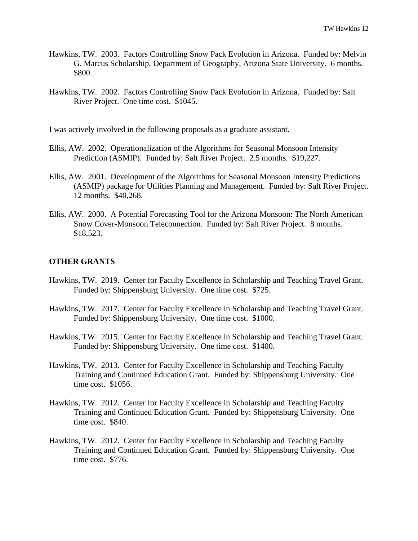- Hawkins, TW. 2003. Factors Controlling Snow Pack Evolution in Arizona. Funded by: Melvin G. Marcus Scholarship, Department of Geography, Arizona State University. 6 months. \$800.
- Hawkins, TW. 2002. Factors Controlling Snow Pack Evolution in Arizona. Funded by: Salt River Project. One time cost. \$1045.

I was actively involved in the following proposals as a graduate assistant.

- Ellis, AW. 2002. Operationalization of the Algorithms for Seasonal Monsoon Intensity Prediction (ASMIP). Funded by: Salt River Project. 2.5 months. \$19,227.
- Ellis, AW. 2001. Development of the Algorithms for Seasonal Monsoon Intensity Predictions (ASMIP) package for Utilities Planning and Management. Funded by: Salt River Project. 12 months. \$40,268.
- Ellis, AW. 2000. A Potential Forecasting Tool for the Arizona Monsoon: The North American Snow Cover-Monsoon Teleconnection. Funded by: Salt River Project. 8 months. \$18,523.

## **OTHER GRANTS**

- Hawkins, TW. 2019. Center for Faculty Excellence in Scholarship and Teaching Travel Grant. Funded by: Shippensburg University. One time cost. \$725.
- Hawkins, TW. 2017. Center for Faculty Excellence in Scholarship and Teaching Travel Grant. Funded by: Shippensburg University. One time cost. \$1000.
- Hawkins, TW. 2015. Center for Faculty Excellence in Scholarship and Teaching Travel Grant. Funded by: Shippensburg University. One time cost. \$1400.
- Hawkins, TW. 2013. Center for Faculty Excellence in Scholarship and Teaching Faculty Training and Continued Education Grant. Funded by: Shippensburg University. One time cost. \$1056.
- Hawkins, TW. 2012. Center for Faculty Excellence in Scholarship and Teaching Faculty Training and Continued Education Grant. Funded by: Shippensburg University. One time cost. \$840.
- Hawkins, TW. 2012. Center for Faculty Excellence in Scholarship and Teaching Faculty Training and Continued Education Grant. Funded by: Shippensburg University. One time cost. \$776.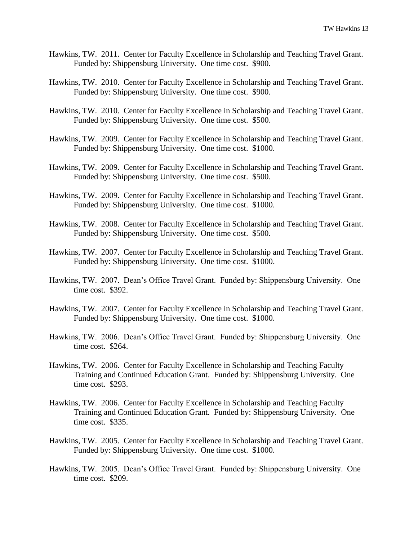- Hawkins, TW. 2011. Center for Faculty Excellence in Scholarship and Teaching Travel Grant. Funded by: Shippensburg University. One time cost. \$900.
- Hawkins, TW. 2010. Center for Faculty Excellence in Scholarship and Teaching Travel Grant. Funded by: Shippensburg University. One time cost. \$900.
- Hawkins, TW. 2010. Center for Faculty Excellence in Scholarship and Teaching Travel Grant. Funded by: Shippensburg University. One time cost. \$500.
- Hawkins, TW. 2009. Center for Faculty Excellence in Scholarship and Teaching Travel Grant. Funded by: Shippensburg University. One time cost. \$1000.
- Hawkins, TW. 2009. Center for Faculty Excellence in Scholarship and Teaching Travel Grant. Funded by: Shippensburg University. One time cost. \$500.
- Hawkins, TW. 2009. Center for Faculty Excellence in Scholarship and Teaching Travel Grant. Funded by: Shippensburg University. One time cost. \$1000.
- Hawkins, TW. 2008. Center for Faculty Excellence in Scholarship and Teaching Travel Grant. Funded by: Shippensburg University. One time cost. \$500.
- Hawkins, TW. 2007. Center for Faculty Excellence in Scholarship and Teaching Travel Grant. Funded by: Shippensburg University. One time cost. \$1000.
- Hawkins, TW. 2007. Dean's Office Travel Grant. Funded by: Shippensburg University. One time cost. \$392.
- Hawkins, TW. 2007. Center for Faculty Excellence in Scholarship and Teaching Travel Grant. Funded by: Shippensburg University. One time cost. \$1000.
- Hawkins, TW. 2006. Dean's Office Travel Grant. Funded by: Shippensburg University. One time cost. \$264.
- Hawkins, TW. 2006. Center for Faculty Excellence in Scholarship and Teaching Faculty Training and Continued Education Grant. Funded by: Shippensburg University. One time cost. \$293.
- Hawkins, TW. 2006. Center for Faculty Excellence in Scholarship and Teaching Faculty Training and Continued Education Grant. Funded by: Shippensburg University. One time cost. \$335.
- Hawkins, TW. 2005. Center for Faculty Excellence in Scholarship and Teaching Travel Grant. Funded by: Shippensburg University. One time cost. \$1000.
- Hawkins, TW. 2005. Dean's Office Travel Grant. Funded by: Shippensburg University. One time cost. \$209.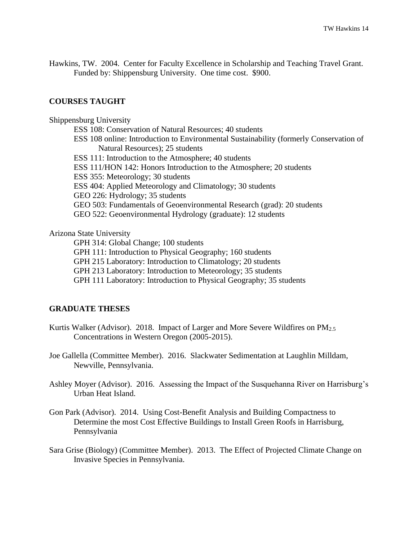Hawkins, TW. 2004. Center for Faculty Excellence in Scholarship and Teaching Travel Grant. Funded by: Shippensburg University. One time cost. \$900.

# **COURSES TAUGHT**

Shippensburg University ESS 108: Conservation of Natural Resources; 40 students ESS 108 online: Introduction to Environmental Sustainability (formerly Conservation of Natural Resources); 25 students ESS 111: Introduction to the Atmosphere; 40 students ESS 111/HON 142: Honors Introduction to the Atmosphere; 20 students ESS 355: Meteorology; 30 students ESS 404: Applied Meteorology and Climatology; 30 students GEO 226: Hydrology; 35 students GEO 503: Fundamentals of Geoenvironmental Research (grad): 20 students GEO 522: Geoenvironmental Hydrology (graduate): 12 students

#### Arizona State University

GPH 314: Global Change; 100 students GPH 111: Introduction to Physical Geography; 160 students GPH 215 Laboratory: Introduction to Climatology; 20 students GPH 213 Laboratory: Introduction to Meteorology; 35 students GPH 111 Laboratory: Introduction to Physical Geography; 35 students

#### **GRADUATE THESES**

- Kurtis Walker (Advisor). 2018. Impact of Larger and More Severe Wildfires on PM<sub>2.5</sub> Concentrations in Western Oregon (2005-2015).
- Joe Gallella (Committee Member). 2016. Slackwater Sedimentation at Laughlin Milldam, Newville, Pennsylvania.
- Ashley Moyer (Advisor). 2016. Assessing the Impact of the Susquehanna River on Harrisburg's Urban Heat Island.
- Gon Park (Advisor). 2014. Using Cost-Benefit Analysis and Building Compactness to Determine the most Cost Effective Buildings to Install Green Roofs in Harrisburg, Pennsylvania
- Sara Grise (Biology) (Committee Member). 2013. The Effect of Projected Climate Change on Invasive Species in Pennsylvania.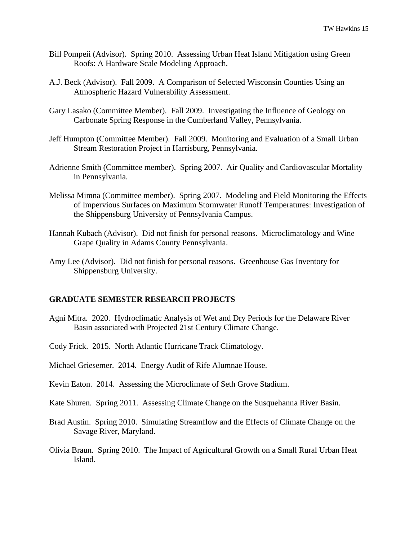- Bill Pompeii (Advisor). Spring 2010. Assessing Urban Heat Island Mitigation using Green Roofs: A Hardware Scale Modeling Approach.
- A.J. Beck (Advisor). Fall 2009. A Comparison of Selected Wisconsin Counties Using an Atmospheric Hazard Vulnerability Assessment.
- Gary Lasako (Committee Member). Fall 2009. Investigating the Influence of Geology on Carbonate Spring Response in the Cumberland Valley, Pennsylvania.
- Jeff Humpton (Committee Member). Fall 2009. Monitoring and Evaluation of a Small Urban Stream Restoration Project in Harrisburg, Pennsylvania.
- Adrienne Smith (Committee member). Spring 2007. Air Quality and Cardiovascular Mortality in Pennsylvania.
- Melissa Mimna (Committee member). Spring 2007. Modeling and Field Monitoring the Effects of Impervious Surfaces on Maximum Stormwater Runoff Temperatures: Investigation of the Shippensburg University of Pennsylvania Campus.
- Hannah Kubach (Advisor). Did not finish for personal reasons. Microclimatology and Wine Grape Quality in Adams County Pennsylvania.
- Amy Lee (Advisor). Did not finish for personal reasons. Greenhouse Gas Inventory for Shippensburg University.

#### **GRADUATE SEMESTER RESEARCH PROJECTS**

- Agni Mitra. 2020. Hydroclimatic Analysis of Wet and Dry Periods for the Delaware River Basin associated with Projected 21st Century Climate Change.
- Cody Frick. 2015. North Atlantic Hurricane Track Climatology.
- Michael Griesemer. 2014. Energy Audit of Rife Alumnae House.
- Kevin Eaton. 2014. Assessing the Microclimate of Seth Grove Stadium.
- Kate Shuren. Spring 2011. Assessing Climate Change on the Susquehanna River Basin.
- Brad Austin. Spring 2010. Simulating Streamflow and the Effects of Climate Change on the Savage River, Maryland.
- Olivia Braun. Spring 2010. The Impact of Agricultural Growth on a Small Rural Urban Heat Island.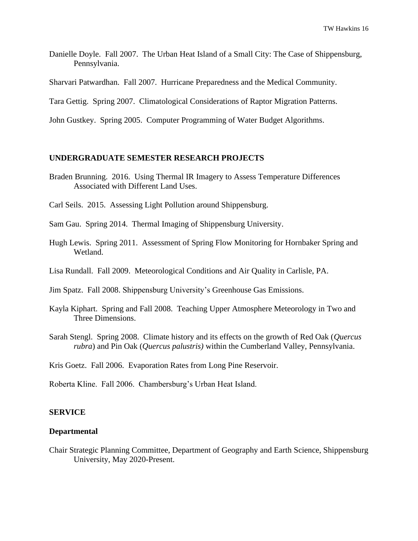- Danielle Doyle. Fall 2007. The Urban Heat Island of a Small City: The Case of Shippensburg, Pennsylvania.
- Sharvari Patwardhan. Fall 2007. Hurricane Preparedness and the Medical Community.
- Tara Gettig. Spring 2007. Climatological Considerations of Raptor Migration Patterns.
- John Gustkey. Spring 2005. Computer Programming of Water Budget Algorithms.

### **UNDERGRADUATE SEMESTER RESEARCH PROJECTS**

- Braden Brunning. 2016. Using Thermal IR Imagery to Assess Temperature Differences Associated with Different Land Uses.
- Carl Seils. 2015. Assessing Light Pollution around Shippensburg.
- Sam Gau. Spring 2014. Thermal Imaging of Shippensburg University.
- Hugh Lewis. Spring 2011. Assessment of Spring Flow Monitoring for Hornbaker Spring and Wetland.
- Lisa Rundall. Fall 2009. Meteorological Conditions and Air Quality in Carlisle, PA.
- Jim Spatz. Fall 2008. Shippensburg University's Greenhouse Gas Emissions.
- Kayla Kiphart. Spring and Fall 2008. Teaching Upper Atmosphere Meteorology in Two and Three Dimensions.
- Sarah Stengl. Spring 2008. Climate history and its effects on the growth of Red Oak (*Quercus rubra*) and Pin Oak (*Quercus palustris)* within the Cumberland Valley, Pennsylvania.

Kris Goetz. Fall 2006. Evaporation Rates from Long Pine Reservoir.

Roberta Kline. Fall 2006. Chambersburg's Urban Heat Island.

#### **SERVICE**

#### **Departmental**

Chair Strategic Planning Committee, Department of Geography and Earth Science, Shippensburg University, May 2020-Present.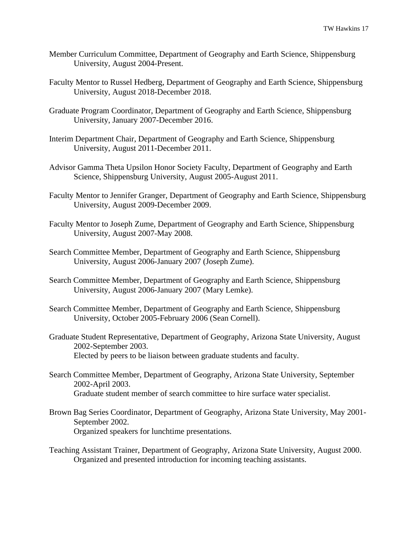- Member Curriculum Committee, Department of Geography and Earth Science, Shippensburg University, August 2004-Present.
- Faculty Mentor to Russel Hedberg, Department of Geography and Earth Science, Shippensburg University, August 2018-December 2018.
- Graduate Program Coordinator, Department of Geography and Earth Science, Shippensburg University, January 2007-December 2016.
- Interim Department Chair, Department of Geography and Earth Science, Shippensburg University, August 2011-December 2011.
- Advisor Gamma Theta Upsilon Honor Society Faculty, Department of Geography and Earth Science, Shippensburg University, August 2005-August 2011.
- Faculty Mentor to Jennifer Granger, Department of Geography and Earth Science, Shippensburg University, August 2009-December 2009.
- Faculty Mentor to Joseph Zume, Department of Geography and Earth Science, Shippensburg University, August 2007-May 2008.
- Search Committee Member, Department of Geography and Earth Science, Shippensburg University, August 2006-January 2007 (Joseph Zume).
- Search Committee Member, Department of Geography and Earth Science, Shippensburg University, August 2006-January 2007 (Mary Lemke).
- Search Committee Member, Department of Geography and Earth Science, Shippensburg University, October 2005-February 2006 (Sean Cornell).
- Graduate Student Representative, Department of Geography, Arizona State University, August 2002-September 2003. Elected by peers to be liaison between graduate students and faculty.
- Search Committee Member, Department of Geography, Arizona State University, September 2002-April 2003. Graduate student member of search committee to hire surface water specialist.
- Brown Bag Series Coordinator, Department of Geography, Arizona State University, May 2001- September 2002. Organized speakers for lunchtime presentations.
- Teaching Assistant Trainer, Department of Geography, Arizona State University, August 2000. Organized and presented introduction for incoming teaching assistants.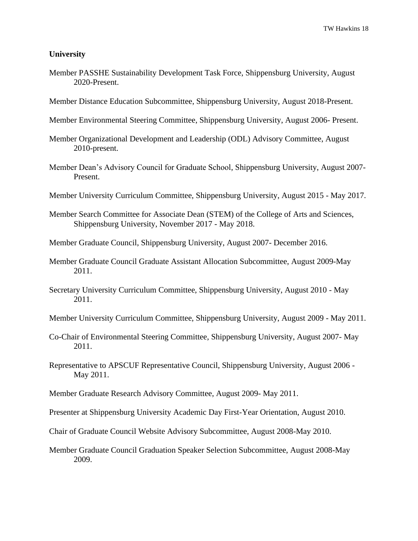## **University**

- Member PASSHE Sustainability Development Task Force, Shippensburg University, August 2020-Present.
- Member Distance Education Subcommittee, Shippensburg University, August 2018-Present.
- Member Environmental Steering Committee, Shippensburg University, August 2006- Present.
- Member Organizational Development and Leadership (ODL) Advisory Committee, August 2010-present.
- Member Dean's Advisory Council for Graduate School, Shippensburg University, August 2007- Present.
- Member University Curriculum Committee, Shippensburg University, August 2015 May 2017.
- Member Search Committee for Associate Dean (STEM) of the College of Arts and Sciences, Shippensburg University, November 2017 - May 2018.
- Member Graduate Council, Shippensburg University, August 2007- December 2016.
- Member Graduate Council Graduate Assistant Allocation Subcommittee, August 2009-May 2011.
- Secretary University Curriculum Committee, Shippensburg University, August 2010 May 2011.
- Member University Curriculum Committee, Shippensburg University, August 2009 May 2011.
- Co-Chair of Environmental Steering Committee, Shippensburg University, August 2007- May 2011.
- Representative to APSCUF Representative Council, Shippensburg University, August 2006 May 2011.
- Member Graduate Research Advisory Committee, August 2009- May 2011.
- Presenter at Shippensburg University Academic Day First-Year Orientation, August 2010.
- Chair of Graduate Council Website Advisory Subcommittee, August 2008-May 2010.
- Member Graduate Council Graduation Speaker Selection Subcommittee, August 2008-May 2009.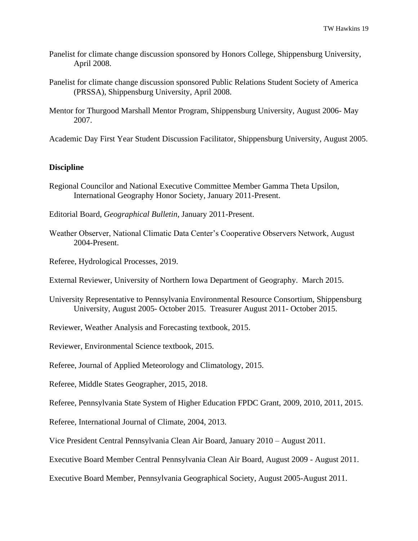- Panelist for climate change discussion sponsored by Honors College, Shippensburg University, April 2008.
- Panelist for climate change discussion sponsored Public Relations Student Society of America (PRSSA), Shippensburg University, April 2008.
- Mentor for Thurgood Marshall Mentor Program, Shippensburg University, August 2006- May 2007.
- Academic Day First Year Student Discussion Facilitator, Shippensburg University, August 2005.

# **Discipline**

- Regional Councilor and National Executive Committee Member Gamma Theta Upsilon, International Geography Honor Society, January 2011-Present.
- Editorial Board, *Geographical Bulletin*, January 2011-Present.
- Weather Observer, National Climatic Data Center's Cooperative Observers Network, August 2004-Present.
- Referee, Hydrological Processes, 2019.
- External Reviewer, University of Northern Iowa Department of Geography. March 2015.
- University Representative to Pennsylvania Environmental Resource Consortium, Shippensburg University, August 2005- October 2015. Treasurer August 2011- October 2015.
- Reviewer, Weather Analysis and Forecasting textbook, 2015.
- Reviewer, Environmental Science textbook, 2015.
- Referee, Journal of Applied Meteorology and Climatology, 2015.
- Referee, Middle States Geographer, 2015, 2018.
- Referee, Pennsylvania State System of Higher Education FPDC Grant, 2009, 2010, 2011, 2015.
- Referee, International Journal of Climate, 2004, 2013.
- Vice President Central Pennsylvania Clean Air Board, January 2010 August 2011.
- Executive Board Member Central Pennsylvania Clean Air Board, August 2009 August 2011.
- Executive Board Member, Pennsylvania Geographical Society, August 2005-August 2011.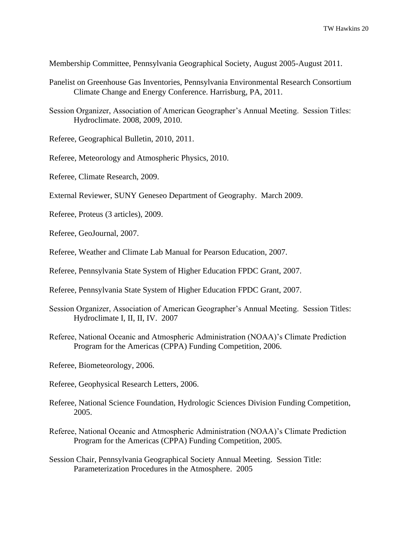Membership Committee, Pennsylvania Geographical Society, August 2005-August 2011.

- Panelist on Greenhouse Gas Inventories, Pennsylvania Environmental Research Consortium Climate Change and Energy Conference. Harrisburg, PA, 2011.
- Session Organizer, Association of American Geographer's Annual Meeting. Session Titles: Hydroclimate. 2008, 2009, 2010.
- Referee, Geographical Bulletin, 2010, 2011.
- Referee, Meteorology and Atmospheric Physics, 2010.
- Referee, Climate Research, 2009.
- External Reviewer, SUNY Geneseo Department of Geography. March 2009.
- Referee, Proteus (3 articles), 2009.
- Referee, GeoJournal, 2007.
- Referee, Weather and Climate Lab Manual for Pearson Education, 2007.
- Referee, Pennsylvania State System of Higher Education FPDC Grant, 2007.
- Referee, Pennsylvania State System of Higher Education FPDC Grant, 2007.
- Session Organizer, Association of American Geographer's Annual Meeting. Session Titles: Hydroclimate I, II, II, IV. 2007
- Referee, National Oceanic and Atmospheric Administration (NOAA)'s Climate Prediction Program for the Americas (CPPA) Funding Competition, 2006.
- Referee, Biometeorology, 2006.
- Referee, Geophysical Research Letters, 2006.
- Referee, National Science Foundation, Hydrologic Sciences Division Funding Competition, 2005.
- Referee, National Oceanic and Atmospheric Administration (NOAA)'s Climate Prediction Program for the Americas (CPPA) Funding Competition, 2005.
- Session Chair, Pennsylvania Geographical Society Annual Meeting. Session Title: Parameterization Procedures in the Atmosphere. 2005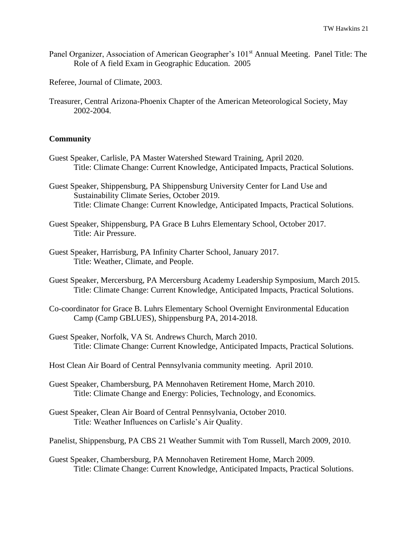Panel Organizer, Association of American Geographer's 101<sup>st</sup> Annual Meeting. Panel Title: The Role of A field Exam in Geographic Education. 2005

Referee, Journal of Climate, 2003.

Treasurer, Central Arizona-Phoenix Chapter of the American Meteorological Society, May 2002-2004.

### **Community**

- Guest Speaker, Carlisle, PA Master Watershed Steward Training, April 2020. Title: Climate Change: Current Knowledge, Anticipated Impacts, Practical Solutions.
- Guest Speaker, Shippensburg, PA Shippensburg University Center for Land Use and Sustainability Climate Series, October 2019. Title: Climate Change: Current Knowledge, Anticipated Impacts, Practical Solutions.
- Guest Speaker, Shippensburg, PA Grace B Luhrs Elementary School, October 2017. Title: Air Pressure.
- Guest Speaker, Harrisburg, PA Infinity Charter School, January 2017. Title: Weather, Climate, and People.
- Guest Speaker, Mercersburg, PA Mercersburg Academy Leadership Symposium, March 2015. Title: Climate Change: Current Knowledge, Anticipated Impacts, Practical Solutions.
- Co-coordinator for Grace B. Luhrs Elementary School Overnight Environmental Education Camp (Camp GBLUES), Shippensburg PA, 2014-2018.
- Guest Speaker, Norfolk, VA St. Andrews Church, March 2010. Title: Climate Change: Current Knowledge, Anticipated Impacts, Practical Solutions.
- Host Clean Air Board of Central Pennsylvania community meeting. April 2010.
- Guest Speaker, Chambersburg, PA Mennohaven Retirement Home, March 2010. Title: Climate Change and Energy: Policies, Technology, and Economics.
- Guest Speaker, Clean Air Board of Central Pennsylvania, October 2010. Title: Weather Influences on Carlisle's Air Quality.

Panelist, Shippensburg, PA CBS 21 Weather Summit with Tom Russell, March 2009, 2010.

Guest Speaker, Chambersburg, PA Mennohaven Retirement Home, March 2009. Title: Climate Change: Current Knowledge, Anticipated Impacts, Practical Solutions.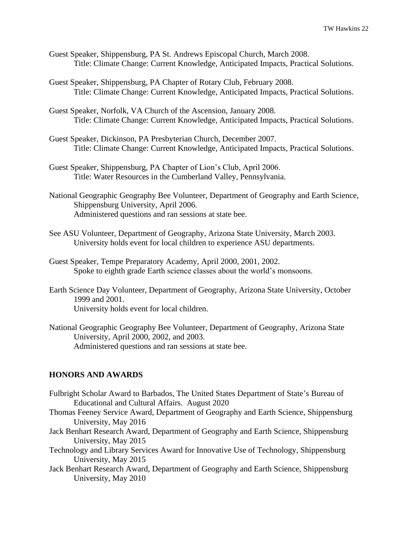- Guest Speaker, Shippensburg, PA St. Andrews Episcopal Church, March 2008. Title: Climate Change: Current Knowledge, Anticipated Impacts, Practical Solutions.
- Guest Speaker, Shippensburg, PA Chapter of Rotary Club, February 2008. Title: Climate Change: Current Knowledge, Anticipated Impacts, Practical Solutions.
- Guest Speaker, Norfolk, VA Church of the Ascension, January 2008. Title: Climate Change: Current Knowledge, Anticipated Impacts, Practical Solutions.
- Guest Speaker, Dickinson, PA Presbyterian Church, December 2007. Title: Climate Change: Current Knowledge, Anticipated Impacts, Practical Solutions.
- Guest Speaker, Shippensburg, PA Chapter of Lion's Club, April 2006. Title: Water Resources in the Cumberland Valley, Pennsylvania.
- National Geographic Geography Bee Volunteer, Department of Geography and Earth Science, Shippensburg University, April 2006. Administered questions and ran sessions at state bee.
- See ASU Volunteer, Department of Geography, Arizona State University, March 2003. University holds event for local children to experience ASU departments.
- Guest Speaker, Tempe Preparatory Academy, April 2000, 2001, 2002. Spoke to eighth grade Earth science classes about the world's monsoons.
- Earth Science Day Volunteer, Department of Geography, Arizona State University, October 1999 and 2001. University holds event for local children.
- National Geographic Geography Bee Volunteer, Department of Geography, Arizona State University, April 2000, 2002, and 2003. Administered questions and ran sessions at state bee.

#### **HONORS AND AWARDS**

- Fulbright Scholar Award to Barbados, The United States Department of State's Bureau of Educational and Cultural Affairs. August 2020
- Thomas Feeney Service Award, Department of Geography and Earth Science, Shippensburg University, May 2016
- Jack Benhart Research Award, Department of Geography and Earth Science, Shippensburg University, May 2015
- Technology and Library Services Award for Innovative Use of Technology, Shippensburg University, May 2015
- Jack Benhart Research Award, Department of Geography and Earth Science, Shippensburg University, May 2010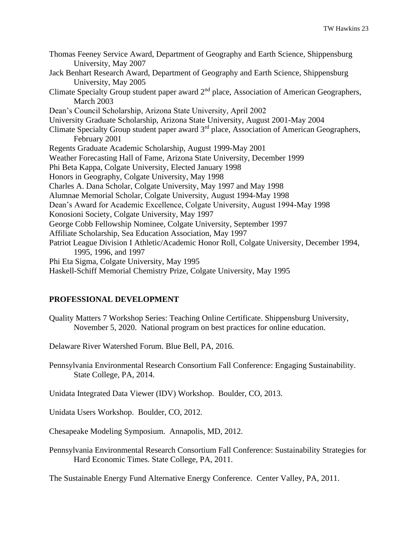Thomas Feeney Service Award, Department of Geography and Earth Science, Shippensburg University, May 2007 Jack Benhart Research Award, Department of Geography and Earth Science, Shippensburg University, May 2005 Climate Specialty Group student paper award 2nd place, Association of American Geographers, March 2003 Dean's Council Scholarship, Arizona State University, April 2002 University Graduate Scholarship, Arizona State University, August 2001-May 2004 Climate Specialty Group student paper award 3rd place, Association of American Geographers, February 2001 Regents Graduate Academic Scholarship, August 1999-May 2001 Weather Forecasting Hall of Fame, Arizona State University, December 1999 Phi Beta Kappa, Colgate University, Elected January 1998 Honors in Geography, Colgate University, May 1998 Charles A. Dana Scholar, Colgate University, May 1997 and May 1998 Alumnae Memorial Scholar, Colgate University, August 1994-May 1998 Dean's Award for Academic Excellence, Colgate University, August 1994-May 1998 Konosioni Society, Colgate University, May 1997 George Cobb Fellowship Nominee, Colgate University, September 1997 Affiliate Scholarship, Sea Education Association, May 1997 Patriot League Division I Athletic/Academic Honor Roll, Colgate University, December 1994, 1995, 1996, and 1997 Phi Eta Sigma, Colgate University, May 1995 Haskell-Schiff Memorial Chemistry Prize, Colgate University, May 1995

# **PROFESSIONAL DEVELOPMENT**

Quality Matters 7 Workshop Series: Teaching Online Certificate. Shippensburg University, November 5, 2020. National program on best practices for online education.

Delaware River Watershed Forum. Blue Bell, PA, 2016.

Pennsylvania Environmental Research Consortium Fall Conference: Engaging Sustainability. State College, PA, 2014.

Unidata Integrated Data Viewer (IDV) Workshop. Boulder, CO, 2013.

Unidata Users Workshop. Boulder, CO, 2012.

Chesapeake Modeling Symposium. Annapolis, MD, 2012.

Pennsylvania Environmental Research Consortium Fall Conference: Sustainability Strategies for Hard Economic Times. State College, PA, 2011.

The Sustainable Energy Fund Alternative Energy Conference. Center Valley, PA, 2011.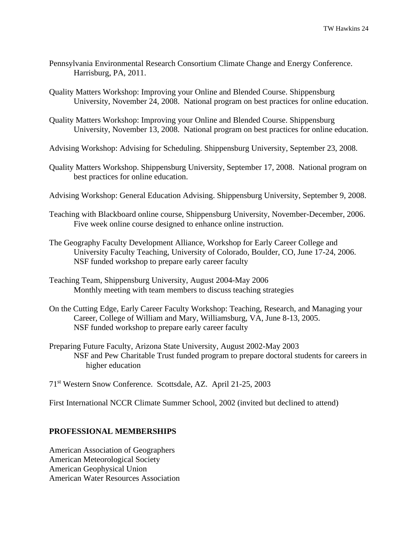- Pennsylvania Environmental Research Consortium Climate Change and Energy Conference. Harrisburg, PA, 2011.
- Quality Matters Workshop: Improving your Online and Blended Course. Shippensburg University, November 24, 2008. National program on best practices for online education.
- Quality Matters Workshop: Improving your Online and Blended Course. Shippensburg University, November 13, 2008. National program on best practices for online education.
- Advising Workshop: Advising for Scheduling. Shippensburg University, September 23, 2008.
- Quality Matters Workshop. Shippensburg University, September 17, 2008. National program on best practices for online education.
- Advising Workshop: General Education Advising. Shippensburg University, September 9, 2008.
- Teaching with Blackboard online course, Shippensburg University, November-December, 2006. Five week online course designed to enhance online instruction.
- The Geography Faculty Development Alliance, Workshop for Early Career College and University Faculty Teaching, University of Colorado, Boulder, CO, June 17-24, 2006. NSF funded workshop to prepare early career faculty
- Teaching Team, Shippensburg University, August 2004-May 2006 Monthly meeting with team members to discuss teaching strategies
- On the Cutting Edge, Early Career Faculty Workshop: Teaching, Research, and Managing your Career, College of William and Mary, Williamsburg, VA, June 8-13, 2005. NSF funded workshop to prepare early career faculty
- Preparing Future Faculty, Arizona State University, August 2002-May 2003 NSF and Pew Charitable Trust funded program to prepare doctoral students for careers in higher education

71st Western Snow Conference. Scottsdale, AZ. April 21-25, 2003

First International NCCR Climate Summer School, 2002 (invited but declined to attend)

#### **PROFESSIONAL MEMBERSHIPS**

American Association of Geographers American Meteorological Society American Geophysical Union American Water Resources Association